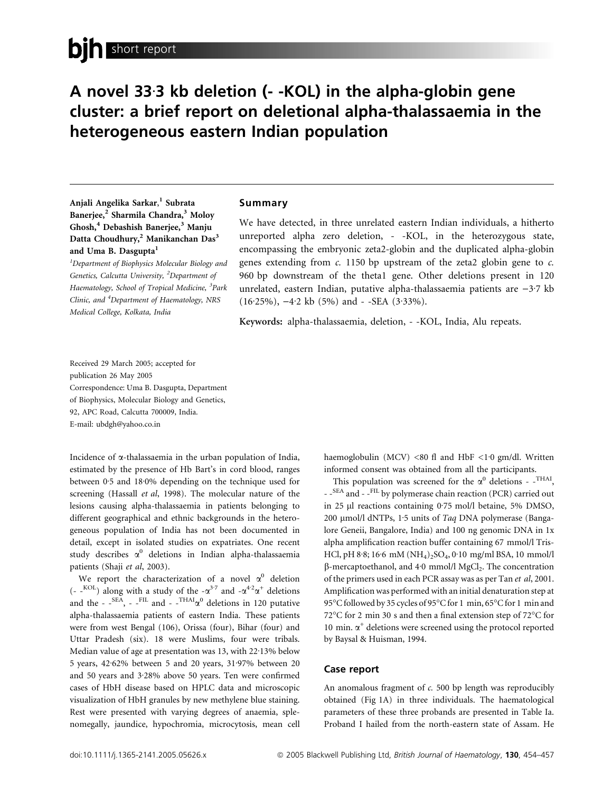# A novel 33.3 kb deletion (- -KOL) in the alpha-globin gene cluster: a brief report on deletional alpha-thalassaemia in the heterogeneous eastern Indian population

Anjali Angelika Sarkar, 1 Subrata Banerjee,<sup>2</sup> Sharmila Chandra,<sup>3</sup> Moloy Ghosh,<sup>4</sup> Debashish Banerjee,<sup>3</sup> Manju Datta Choudhury,<sup>2</sup> Manikanchan Das<sup>3</sup> and Uma B. Dasgupta<sup>1</sup>

<sup>1</sup>Department of Biophysics Molecular Biology and Genetics, Calcutta University, <sup>2</sup>Department of Haematology, School of Tropical Medicine, <sup>3</sup>Park Clinic, and <sup>4</sup>Department of Haematology, NRS Medical College, Kolkata, India

### Summary

We have detected, in three unrelated eastern Indian individuals, a hitherto unreported alpha zero deletion, - -KOL, in the heterozygous state, encompassing the embryonic zeta2-globin and the duplicated alpha-globin genes extending from  $c$ . 1150 bp upstream of the zeta2 globin gene to  $c$ . 960 bp downstream of the theta1 gene. Other deletions present in 120 unrelated, eastern Indian, putative alpha-thalassaemia patients are  $-3.7$  kb  $(16.25\%)$ ,  $-4.2$  kb  $(5\%)$  and - -SEA  $(3.33\%)$ .

Keywords: alpha-thalassaemia, deletion, - -KOL, India, Alu repeats.

Received 29 March 2005; accepted for publication 26 May 2005 Correspondence: Uma B. Dasgupta, Department of Biophysics, Molecular Biology and Genetics, 92, APC Road, Calcutta 700009, India. E-mail: ubdgh@yahoo.co.in

Incidence of a-thalassaemia in the urban population of India, estimated by the presence of Hb Bart's in cord blood, ranges between  $0.5$  and  $18.0\%$  depending on the technique used for screening (Hassall et al, 1998). The molecular nature of the lesions causing alpha-thalassaemia in patients belonging to different geographical and ethnic backgrounds in the heterogeneous population of India has not been documented in detail, except in isolated studies on expatriates. One recent study describes  $\alpha^0$  deletions in Indian alpha-thalassaemia patients (Shaji et al, 2003).

We report the characterization of a novel  $\alpha^0$  deletion (- -<sup>KOL</sup>) along with a study of the  $-\alpha^{3.7}$  and  $-\alpha^{4.2}\alpha^{+}$  deletions and the -  $\cdot$ <sup>SEA</sup>, -  $\cdot$ <sup>FIL</sup> and -  $\cdot$ <sup>THAI</sup> $\alpha$ <sup>0</sup> deletions in 120 putative alpha-thalassaemia patients of eastern India. These patients were from west Bengal (106), Orissa (four), Bihar (four) and Uttar Pradesh (six). 18 were Muslims, four were tribals. Median value of age at presentation was 13, with 22.13% below 5 years, 42<sup>.</sup>62% between 5 and 20 years, 31<sup>.</sup>97% between 20 and 50 years and 3.28% above 50 years. Ten were confirmed cases of HbH disease based on HPLC data and microscopic visualization of HbH granules by new methylene blue staining. Rest were presented with varying degrees of anaemia, splenomegally, jaundice, hypochromia, microcytosis, mean cell haemoglobulin (MCV) <80 fl and HbF <1.0 gm/dl. Written informed consent was obtained from all the participants.

This population was screened for the  $\alpha^0$  deletions - -<sup>THAI</sup>, - -<sup>SEA</sup> and - -<sup>FIL</sup> by polymerase chain reaction (PCR) carried out in 25 µl reactions containing 0.75 mol/l betaine, 5% DMSO, 200  $\mu$ mol/l dNTPs, 1.5 units of Taq DNA polymerase (Bangalore Geneii, Bangalore, India) and 100 ng genomic DNA in 1x alpha amplification reaction buffer containing 67 mmol/l Tris-HCl, pH 8·8; 16·6 mM (NH<sub>4</sub>)<sub>2</sub>SO<sub>4</sub>, 0·10 mg/ml BSA, 10 mmol/l  $\beta$ -mercaptoethanol, and 4.0 mmol/l MgCl<sub>2</sub>. The concentration of the primers used in each PCR assay was as per Tan et al, 2001. Amplification was performed with an initial denaturation step at 95°C followed by 35 cycles of 95°C for 1 min, 65°C for 1 min and 72°C for 2 min 30 s and then a final extension step of 72°C for 10 min.  $\alpha^+$  deletions were screened using the protocol reported by Baysal & Huisman, 1994.

### Case report

An anomalous fragment of  $c$ . 500 bp length was reproducibly obtained (Fig 1A) in three individuals. The haematological parameters of these three probands are presented in Table Ia. Proband I hailed from the north-eastern state of Assam. He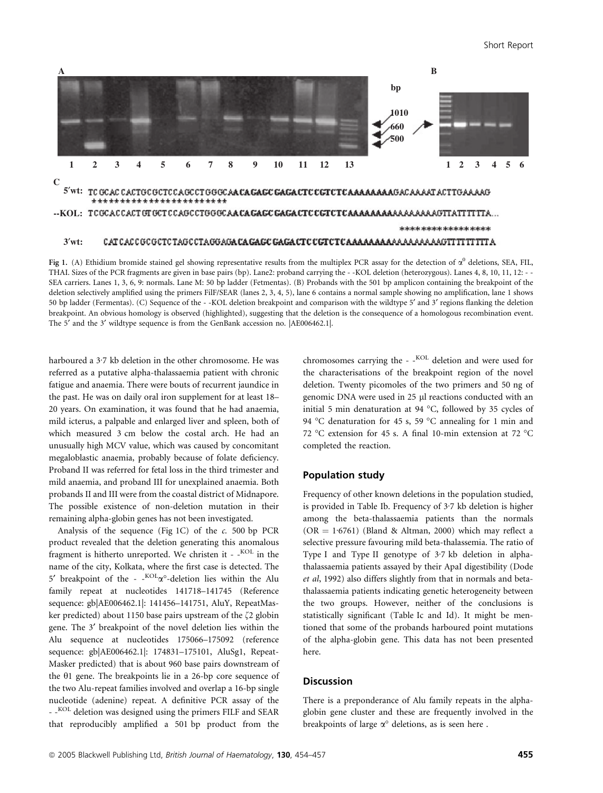

Fig 1. (A) Ethidium bromide stained gel showing representative results from the multiplex PCR assay for the detection of  $\alpha^0$  deletions, SEA, FIL, THAI. Sizes of the PCR fragments are given in base pairs (bp). Lane2: proband carrying the - -KOL deletion (heterozygous). Lanes 4, 8, 10, 11, 12: - - SEA carriers. Lanes 1, 3, 6, 9: normals. Lane M: 50 bp ladder (Fetmentas). (B) Probands with the 501 bp amplicon containing the breakpoint of the deletion selectively amplified using the primers FilF/SEAR (lanes 2, 3, 4, 5), lane 6 contains a normal sample showing no amplification, lane 1 shows 50 bp ladder (Fermentas). (C) Sequence of the - -KOL deletion breakpoint and comparison with the wildtype 5' and 3' regions flanking the deletion breakpoint. An obvious homology is observed (highlighted), suggesting that the deletion is the consequence of a homologous recombination event. The 5' and the 3' wildtype sequence is from the GenBank accession no.  $|AE006462.1|$ .

harboured a  $3.7$  kb deletion in the other chromosome. He was referred as a putative alpha-thalassaemia patient with chronic fatigue and anaemia. There were bouts of recurrent jaundice in the past. He was on daily oral iron supplement for at least 18– 20 years. On examination, it was found that he had anaemia, mild icterus, a palpable and enlarged liver and spleen, both of which measured 3 cm below the costal arch. He had an unusually high MCV value, which was caused by concomitant megaloblastic anaemia, probably because of folate deficiency. Proband II was referred for fetal loss in the third trimester and mild anaemia, and proband III for unexplained anaemia. Both probands II and III were from the coastal district of Midnapore. The possible existence of non-deletion mutation in their remaining alpha-globin genes has not been investigated.

Analysis of the sequence (Fig 1C) of the c. 500 bp PCR product revealed that the deletion generating this anomalous fragment is hitherto unreported. We christen it - -<sup>KOL</sup> in the name of the city, Kolkata, where the first case is detected. The 5' breakpoint of the -  $KOL_{\alpha^{\circ}}$ -deletion lies within the Alu family repeat at nucleotides 141718–141745 (Reference sequence: gb|AE006462.1|: 141456–141751, AluY, RepeatMasker predicted) about 1150 base pairs upstream of the  $\zeta$ 2 globin gene. The 3' breakpoint of the novel deletion lies within the Alu sequence at nucleotides 175066–175092 (reference sequence: gb|AE006462.1|: 174831–175101, AluSg1, Repeat-Masker predicted) that is about 960 base pairs downstream of the  $\theta$ 1 gene. The breakpoints lie in a 26-bp core sequence of the two Alu-repeat families involved and overlap a 16-bp single nucleotide (adenine) repeat. A definitive PCR assay of the - -<sup>KOL</sup> deletion was designed using the primers FILF and SEAR that reproducibly amplified a 501 bp product from the

chromosomes carrying the  $-$ -<sup>KOL</sup> deletion and were used for the characterisations of the breakpoint region of the novel deletion. Twenty picomoles of the two primers and 50 ng of genomic DNA were used in 25 µl reactions conducted with an initial 5 min denaturation at 94  $^{\circ}$ C, followed by 35 cycles of 94 °C denaturation for 45 s, 59 °C annealing for 1 min and 72 °C extension for 45 s. A final 10-min extension at 72 °C completed the reaction.

### Population study

Frequency of other known deletions in the population studied, is provided in Table Ib. Frequency of  $3.7$  kb deletion is higher among the beta-thalassaemia patients than the normals  $(OR = 1.6761)$  (Bland & Altman, 2000) which may reflect a selective pressure favouring mild beta-thalassemia. The ratio of Type I and Type II genotype of  $3.7$  kb deletion in alphathalassaemia patients assayed by their ApaI digestibility (Dode et al, 1992) also differs slightly from that in normals and betathalassaemia patients indicating genetic heterogeneity between the two groups. However, neither of the conclusions is statistically significant (Table Ic and Id). It might be mentioned that some of the probands harboured point mutations of the alpha-globin gene. This data has not been presented here.

## **Discussion**

There is a preponderance of Alu family repeats in the alphaglobin gene cluster and these are frequently involved in the breakpoints of large  $\alpha^{\circ}$  deletions, as is seen here.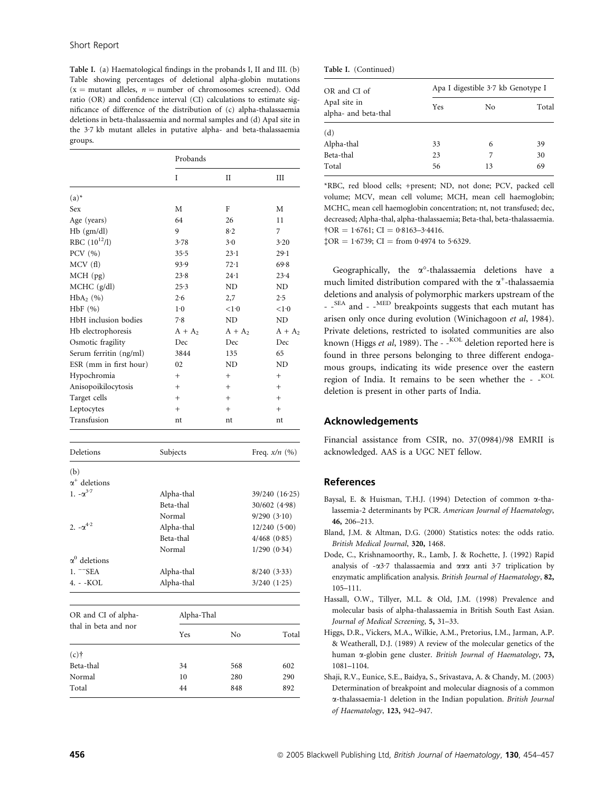Table I. (a) Haematological findings in the probands I, II and III. (b) Table showing percentages of deletional alpha-globin mutations  $(x =$  mutant alleles,  $n =$  number of chromosomes screened). Odd ratio (OR) and confidence interval (CI) calculations to estimate significance of difference of the distribution of (c) alpha-thalassaemia deletions in beta-thalassaemia and normal samples and (d) ApaI site in the  $3.7$  kb mutant alleles in putative alpha- and beta-thalassaemia groups.

|                          | Probands   |                 |                  |  |
|--------------------------|------------|-----------------|------------------|--|
|                          | Ī          | H               | Ш                |  |
| $(a)^*$                  |            |                 |                  |  |
| Sex                      | M          | F               | М                |  |
| Age (years)              | 64         | 26              | 11               |  |
| Hb (gm/dl)               | 9          | 8.2             | 7                |  |
| RBC $(10^{12}/I)$        | 3.78       | 3.0             | 3.20             |  |
| PCV (%)                  | 35.5       | 23.1            | $29 - 1$         |  |
| MCV(f)                   | 93.9       | 72.1            | 69.8             |  |
| $MCH$ (pg)               | 23.8       | $24 - 1$        | 23.4             |  |
| $MCHC$ ( $g/dl$ )        | 25.3       | ND              | ND               |  |
| $HbA_2$ $(\% )$          | 2.6        | 2,7             | 2.5              |  |
| HbF(%)                   | $1-0$      | <1.0            | <1.0             |  |
| HbH inclusion bodies     | 7.8        | ND.             | ND.              |  |
| Hb electrophoresis       | $A + A_2$  | $A + A_2$       | $A + A_2$        |  |
| Osmotic fragility        | Dec        | Dec             | Dec              |  |
| Serum ferritin (ng/ml)   | 3844       | 135             | 65               |  |
| ESR (mm in first hour)   | 02         | ND              | ND               |  |
| Hypochromia              | $^{+}$     | $^{+}$          | $^{+}$           |  |
| Anisopoikilocytosis      | $^{+}$     | $^{+}$          | $^{+}$           |  |
| Target cells             | $^{+}$     | $^{+}$          | $^{+}$           |  |
| Leptocytes               | $^{+}$     | $^{+}$          | $^{+}$           |  |
| Transfusion              | nt         | nt              | nt               |  |
| Deletions                | Subjects   | Freq. $x/n$ (%) |                  |  |
| (b)                      |            |                 |                  |  |
| $\alpha^+$ deletions     |            |                 |                  |  |
| 1. $-\alpha^{3.7}$       | Alpha-thal | 39/240 (16.25)  |                  |  |
|                          | Beta-thal  |                 | 30/602 (4.98)    |  |
|                          | Normal     | 9/290(3.10)     |                  |  |
| 2. $-\alpha^{4 \cdot 2}$ | Alpha-thal |                 | 12/240(5.00)     |  |
|                          | Beta-thal  |                 | $4/468$ $(0.85)$ |  |
|                          | Normal     | 1/290(0.34)     |                  |  |
| $\alpha^0$ deletions     |            |                 |                  |  |
| $1.$ $-$ SEA             | Alpha-thal |                 | 8/240(3.33)      |  |
| 4. - -KOL                | Alpha-thal |                 | $3/240$ $(1.25)$ |  |

| OR and CI of alpha-<br>thal in beta and nor | Alpha-Thal |     |       |
|---------------------------------------------|------------|-----|-------|
|                                             | Yes        | No  | Total |
| $(c)$ †                                     |            |     |       |
| Beta-thal                                   | 34         | 568 | 602   |
| Normal                                      | 10         | 280 | 290   |
| Total                                       | 44         | 848 | 892   |

|  | Table I. (Continued) |
|--|----------------------|
|--|----------------------|

| OR and CI of<br>ApaI site in<br>alpha- and beta-thal | Apa I digestible 3.7 kb Genotype I |    |       |
|------------------------------------------------------|------------------------------------|----|-------|
|                                                      | Yes                                | No | Total |
| (d)                                                  |                                    |    |       |
| Alpha-thal                                           | 33                                 | 6  | 39    |
| Beta-thal                                            | 23                                 | 7  | 30    |
| Total                                                | 56                                 | 13 | 69    |

\*RBC, red blood cells; +present; ND, not done; PCV, packed cell volume; MCV, mean cell volume; MCH, mean cell haemoglobin; MCHC, mean cell haemoglobin concentration; nt, not transfused; dec, decreased; Alpha-thal, alpha-thalassaemia; Beta-thal, beta-thalassaemia.  $\text{tOR} = 1.6761$ ; CI = 0.8163-3.4416.

 $$OR = 1.6739; CI = from 0.4974 to 5.6329.$ 

Geographically, the  $\alpha^{\circ}$ -thalassaemia deletions have a much limited distribution compared with the  $\alpha^+$ -thalassaemia deletions and analysis of polymorphic markers upstream of the - -<sup>SEA</sup> and - -<sup>MED</sup> breakpoints suggests that each mutant has arisen only once during evolution (Winichagoon et al, 1984). Private deletions, restricted to isolated communities are also known (Higgs et al, 1989). The - - KOL deletion reported here is found in three persons belonging to three different endogamous groups, indicating its wide presence over the eastern region of India. It remains to be seen whether the - -KOL deletion is present in other parts of India.

#### Acknowledgements

Financial assistance from CSIR, no. 37(0984)/98 EMRII is acknowledged. AAS is a UGC NET fellow.

#### References

- Baysal, E. & Huisman, T.H.J. (1994) Detection of common a-thalassemia-2 determinants by PCR. American Journal of Haematology, 46, 206–213.
- Bland, J.M. & Altman, D.G. (2000) Statistics notes: the odds ratio. British Medical Journal, 320, 1468.
- Dode, C., Krishnamoorthy, R., Lamb, J. & Rochette, J. (1992) Rapid analysis of -03.7 thalassaemia and 000 anti 3.7 triplication by enzymatic amplification analysis. British Journal of Haematology, 82, 105–111.
- Hassall, O.W., Tillyer, M.L. & Old, J.M. (1998) Prevalence and molecular basis of alpha-thalassaemia in British South East Asian. Journal of Medical Screening, 5, 31–33.
- Higgs, D.R., Vickers, M.A., Wilkie, A.M., Pretorius, I.M., Jarman, A.P. & Weatherall, D.J. (1989) A review of the molecular genetics of the human  $\alpha$ -globin gene cluster. British Journal of Haematology, 73, 1081–1104.
- Shaji, R.V., Eunice, S.E., Baidya, S., Srivastava, A. & Chandy, M. (2003) Determination of breakpoint and molecular diagnosis of a common a-thalassaemia-1 deletion in the Indian population. British Journal of Haematology, 123, 942–947.